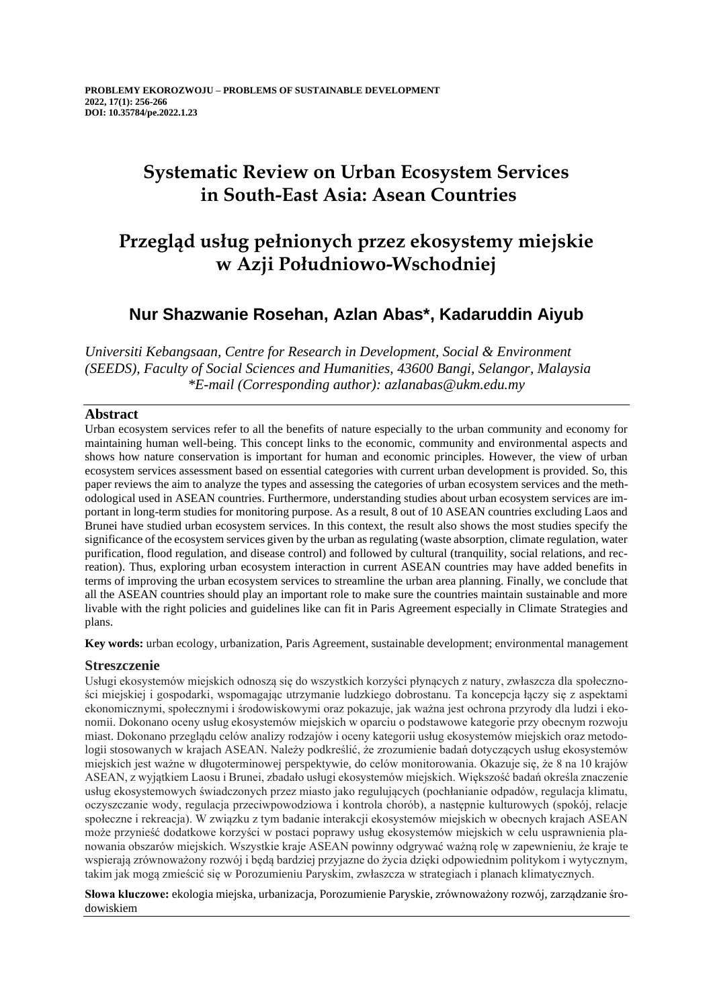# **Systematic Review on Urban Ecosystem Services in South-East Asia: Asean Countries**

## **Przegląd usług pełnionych przez ekosystemy miejskie w Azji Południowo-Wschodniej**

## **Nur Shazwanie Rosehan, Azlan Abas\*, Kadaruddin Aiyub**

*Universiti Kebangsaan, Centre for Research in Development, Social & Environment (SEEDS), Faculty of Social Sciences and Humanities, 43600 Bangi, Selangor, Malaysia \*E-mail (Corresponding author): azlanabas@ukm.edu.my*

## **Abstract**

Urban ecosystem services refer to all the benefits of nature especially to the urban community and economy for maintaining human well-being. This concept links to the economic, community and environmental aspects and shows how nature conservation is important for human and economic principles. However, the view of urban ecosystem services assessment based on essential categories with current urban development is provided. So, this paper reviews the aim to analyze the types and assessing the categories of urban ecosystem services and the methodological used in ASEAN countries. Furthermore, understanding studies about urban ecosystem services are important in long-term studies for monitoring purpose. As a result, 8 out of 10 ASEAN countries excluding Laos and Brunei have studied urban ecosystem services. In this context, the result also shows the most studies specify the significance of the ecosystem services given by the urban as regulating (waste absorption, climate regulation, water purification, flood regulation, and disease control) and followed by cultural (tranquility, social relations, and recreation). Thus, exploring urban ecosystem interaction in current ASEAN countries may have added benefits in terms of improving the urban ecosystem services to streamline the urban area planning. Finally, we conclude that all the ASEAN countries should play an important role to make sure the countries maintain sustainable and more livable with the right policies and guidelines like can fit in Paris Agreement especially in Climate Strategies and plans.

**Key words:** urban ecology, urbanization, Paris Agreement, sustainable development; environmental management

## **Streszczenie**

Usługi ekosystemów miejskich odnoszą się do wszystkich korzyści płynących z natury, zwłaszcza dla społeczności miejskiej i gospodarki, wspomagając utrzymanie ludzkiego dobrostanu. Ta koncepcja łączy się z aspektami ekonomicznymi, społecznymi i środowiskowymi oraz pokazuje, jak ważna jest ochrona przyrody dla ludzi i ekonomii. Dokonano oceny usług ekosystemów miejskich w oparciu o podstawowe kategorie przy obecnym rozwoju miast. Dokonano przeglądu celów analizy rodzajów i oceny kategorii usług ekosystemów miejskich oraz metodologii stosowanych w krajach ASEAN. Należy podkreślić, że zrozumienie badań dotyczących usług ekosystemów miejskich jest ważne w długoterminowej perspektywie, do celów monitorowania. Okazuje się, że 8 na 10 krajów ASEAN, z wyjątkiem Laosu i Brunei, zbadało usługi ekosystemów miejskich. Większość badań określa znaczenie usług ekosystemowych świadczonych przez miasto jako regulujących (pochłanianie odpadów, regulacja klimatu, oczyszczanie wody, regulacja przeciwpowodziowa i kontrola chorób), a następnie kulturowych (spokój, relacje społeczne i rekreacja). W związku z tym badanie interakcji ekosystemów miejskich w obecnych krajach ASEAN może przynieść dodatkowe korzyści w postaci poprawy usług ekosystemów miejskich w celu usprawnienia planowania obszarów miejskich. Wszystkie kraje ASEAN powinny odgrywać ważną rolę w zapewnieniu, że kraje te wspierają zrównoważony rozwój i będą bardziej przyjazne do życia dzięki odpowiednim politykom i wytycznym, takim jak mogą zmieścić się w Porozumieniu Paryskim, zwłaszcza w strategiach i planach klimatycznych.

**Słowa kluczowe:** ekologia miejska, urbanizacja, Porozumienie Paryskie, zrównoważony rozwój, zarządzanie środowiskiem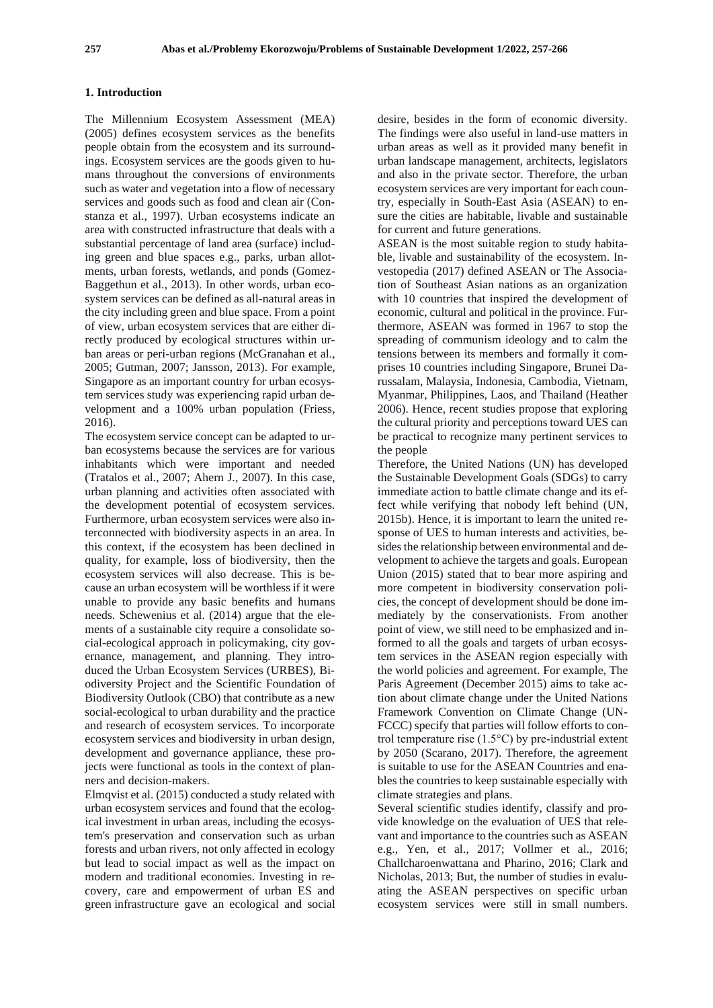#### **1. Introduction**

The Millennium Ecosystem Assessment (MEA) (2005) defines ecosystem services as the benefits people obtain from the ecosystem and its surroundings. Ecosystem services are the goods given to humans throughout the conversions of environments such as water and vegetation into a flow of necessary services and goods such as food and clean air (Constanza et al., 1997). Urban ecosystems indicate an area with constructed infrastructure that deals with a substantial percentage of land area (surface) including green and blue spaces e.g., parks, urban allotments, urban forests, wetlands, and ponds (Gomez-Baggethun et al., 2013). In other words, urban ecosystem services can be defined as all-natural areas in the city including green and blue space. From a point of view, urban ecosystem services that are either directly produced by ecological structures within urban areas or peri-urban regions (McGranahan et al., 2005; Gutman, 2007; Jansson, 2013). For example, Singapore as an important country for urban ecosystem services study was experiencing rapid urban development and a 100% urban population (Friess, 2016).

The ecosystem service concept can be adapted to urban ecosystems because the services are for various inhabitants which were important and needed (Tratalos et al., 2007; Ahern J., 2007). In this case, urban planning and activities often associated with the development potential of ecosystem services. Furthermore, urban ecosystem services were also interconnected with biodiversity aspects in an area. In this context, if the ecosystem has been declined in quality, for example, loss of biodiversity, then the ecosystem services will also decrease. This is because an urban ecosystem will be worthless if it were unable to provide any basic benefits and humans needs. Schewenius et al. (2014) argue that the elements of a sustainable city require a consolidate social-ecological approach in policymaking, city governance, management, and planning. They introduced the Urban Ecosystem Services (URBES), Biodiversity Project and the Scientific Foundation of Biodiversity Outlook (CBO) that contribute as a new social-ecological to urban durability and the practice and research of ecosystem services. To incorporate ecosystem services and biodiversity in urban design, development and governance appliance, these projects were functional as tools in the context of planners and decision-makers.

Elmqvist et al. (2015) conducted a study related with urban ecosystem services and found that the ecological investment in urban areas, including the ecosystem's preservation and conservation such as urban forests and urban rivers, not only affected in ecology but lead to social impact as well as the impact on modern and traditional economies. Investing in recovery, care and empowerment of urban ES and green infrastructure gave an ecological and social desire, besides in the form of economic diversity. The findings were also useful in land-use matters in urban areas as well as it provided many benefit in urban landscape management, architects, legislators and also in the private sector. Therefore, the urban ecosystem services are very important for each country, especially in South-East Asia (ASEAN) to ensure the cities are habitable, livable and sustainable for current and future generations.

ASEAN is the most suitable region to study habitable, livable and sustainability of the ecosystem. Investopedia (2017) defined ASEAN or The Association of Southeast Asian nations as an organization with 10 countries that inspired the development of economic, cultural and political in the province. Furthermore, ASEAN was formed in 1967 to stop the spreading of communism ideology and to calm the tensions between its members and formally it comprises 10 countries including Singapore, Brunei Darussalam, Malaysia, Indonesia, Cambodia, Vietnam, Myanmar, Philippines, Laos, and Thailand (Heather 2006). Hence, recent studies propose that exploring the cultural priority and perceptions toward UES can be practical to recognize many pertinent services to the people

Therefore, the United Nations (UN) has developed the Sustainable Development Goals (SDGs) to carry immediate action to battle climate change and its effect while verifying that nobody left behind (UN, 2015b). Hence, it is important to learn the united response of UES to human interests and activities, besides the relationship between environmental and development to achieve the targets and goals. European Union (2015) stated that to bear more aspiring and more competent in biodiversity conservation policies, the concept of development should be done immediately by the conservationists. From another point of view, we still need to be emphasized and informed to all the goals and targets of urban ecosystem services in the ASEAN region especially with the world policies and agreement. For example, The Paris Agreement (December 2015) aims to take action about climate change under the United Nations Framework Convention on Climate Change (UN-FCCC) specify that parties will follow efforts to control temperature rise (1.5°C) by pre-industrial extent by 2050 (Scarano, 2017). Therefore, the agreement is suitable to use for the ASEAN Countries and enables the countries to keep sustainable especially with climate strategies and plans.

Several scientific studies identify, classify and provide knowledge on the evaluation of UES that relevant and importance to the countries such as ASEAN e.g., Yen, et al., 2017; Vollmer et al., 2016; Challcharoenwattana and Pharino, 2016; Clark and Nicholas, 2013; But, the number of studies in evaluating the ASEAN perspectives on specific urban ecosystem services were still in small numbers.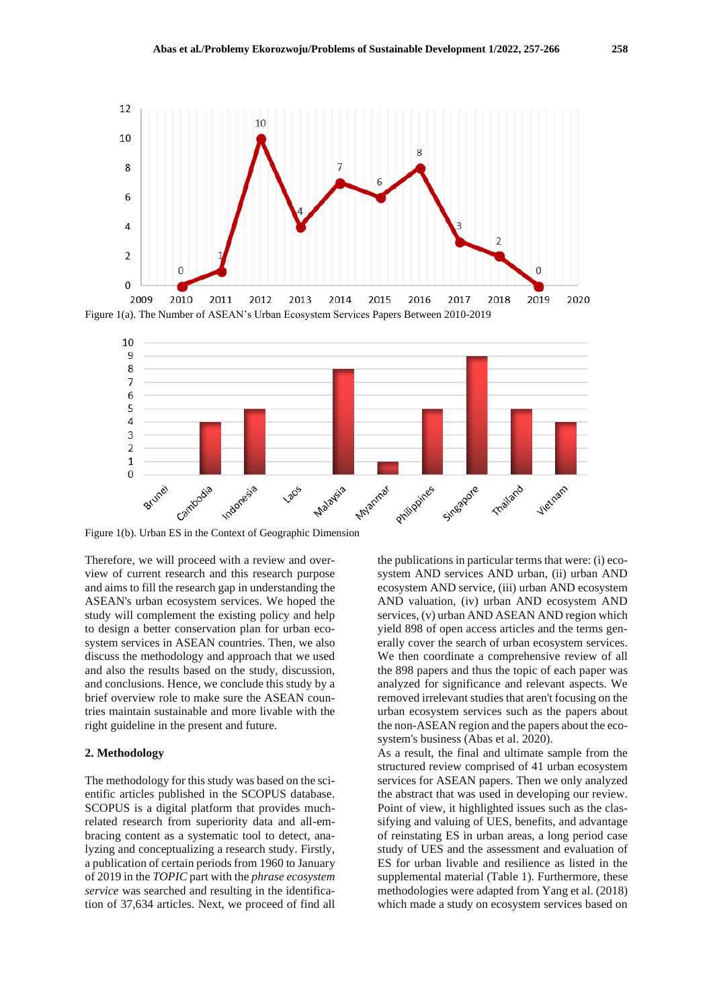

Figure 1(a). The Number of ASEAN's Urban Ecosystem Services Papers Between 2010-2019



Figure 1(b). Urban ES in the Context of Geographic Dimension

Therefore, we will proceed with a review and overview of current research and this research purpose and aims to fill the research gap in understanding the ASEAN's urban ecosystem services. We hoped the study will complement the existing policy and help to design a better conservation plan for urban ecosystem services in ASEAN countries. Then, we also discuss the methodology and approach that we used and also the results based on the study, discussion, and conclusions. Hence, we conclude this study by a brief overview role to make sure the ASEAN countries maintain sustainable and more livable with the right guideline in the present and future.

#### **2. Methodology**

The methodology for this study was based on the scientific articles published in the SCOPUS database. SCOPUS is a digital platform that provides muchrelated research from superiority data and all-embracing content as a systematic tool to detect, analyzing and conceptualizing a research study. Firstly, a publication of certain periods from 1960 to January of 2019 in the *TOPIC* part with the *phrase ecosystem service* was searched and resulting in the identification of 37,634 articles. Next, we proceed of find all

the publications in particular terms that were: (i) ecosystem AND services AND urban, (ii) urban AND ecosystem AND service, (iii) urban AND ecosystem AND valuation, (iv) urban AND ecosystem AND services, (v) urban AND ASEAN AND region which yield 898 of open access articles and the terms generally cover the search of urban ecosystem services. We then coordinate a comprehensive review of all the 898 papers and thus the topic of each paper was analyzed for significance and relevant aspects. We removed irrelevant studies that aren't focusing on the urban ecosystem services such as the papers about the non-ASEAN region and the papers about the ecosystem's business (Abas et al. 2020).

As a result, the final and ultimate sample from the structured review comprised of 41 urban ecosystem services for ASEAN papers. Then we only analyzed the abstract that was used in developing our review. Point of view, it highlighted issues such as the classifying and valuing of UES, benefits, and advantage of reinstating ES in urban areas, a long period case study of UES and the assessment and evaluation of ES for urban livable and resilience as listed in the supplemental material (Table 1). Furthermore, these methodologies were adapted from Yang et al. (2018) which made a study on ecosystem services based on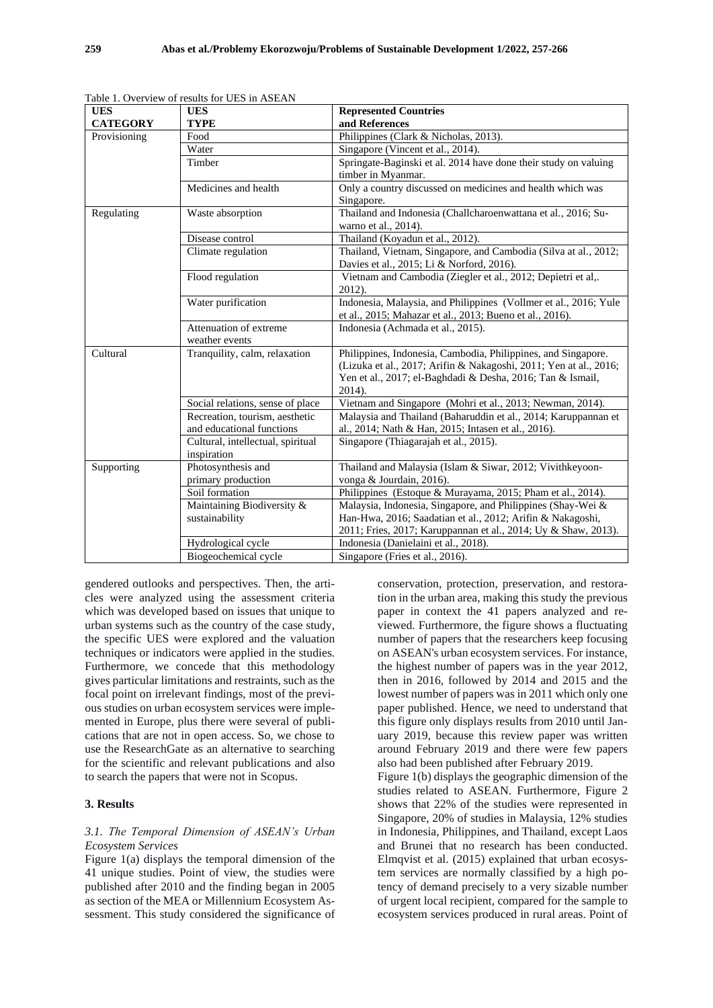| <b>UES</b>      | <b>UES</b>                        | <b>Represented Countries</b>                                      |
|-----------------|-----------------------------------|-------------------------------------------------------------------|
| <b>CATEGORY</b> | <b>TYPE</b>                       | and References                                                    |
| Provisioning    | Food                              | Philippines (Clark & Nicholas, 2013).                             |
|                 | Water                             | Singapore (Vincent et al., 2014).                                 |
|                 | Timber                            | Springate-Baginski et al. 2014 have done their study on valuing   |
|                 |                                   | timber in Myanmar.                                                |
|                 | Medicines and health              | Only a country discussed on medicines and health which was        |
|                 |                                   | Singapore.                                                        |
| Regulating      | Waste absorption                  | Thailand and Indonesia (Challcharoenwattana et al., 2016; Su-     |
|                 |                                   | warno et al., 2014).                                              |
|                 | Disease control                   | Thailand (Koyadun et al., 2012).                                  |
|                 | Climate regulation                | Thailand, Vietnam, Singapore, and Cambodia (Silva at al., 2012;   |
|                 |                                   | Davies et al., 2015; Li & Norford, 2016).                         |
|                 | Flood regulation                  | Vietnam and Cambodia (Ziegler et al., 2012; Depietri et al,.      |
|                 |                                   | 2012).                                                            |
|                 | Water purification                | Indonesia, Malaysia, and Philippines (Vollmer et al., 2016; Yule  |
|                 |                                   | et al., 2015; Mahazar et al., 2013; Bueno et al., 2016).          |
|                 | Attenuation of extreme            | Indonesia (Achmada et al., 2015).                                 |
|                 | weather events                    |                                                                   |
| Cultural        | Tranquility, calm, relaxation     | Philippines, Indonesia, Cambodia, Philippines, and Singapore.     |
|                 |                                   | (Lizuka et al., 2017; Arifin & Nakagoshi, 2011; Yen at al., 2016; |
|                 |                                   | Yen et al., 2017; el-Baghdadi & Desha, 2016; Tan & Ismail,        |
|                 |                                   | 2014).                                                            |
|                 | Social relations, sense of place  | Vietnam and Singapore (Mohri et al., 2013; Newman, 2014).         |
|                 | Recreation, tourism, aesthetic    | Malaysia and Thailand (Baharuddin et al., 2014; Karuppannan et    |
|                 | and educational functions         | al., 2014; Nath & Han, 2015; Intasen et al., 2016).               |
|                 | Cultural, intellectual, spiritual | Singapore (Thiagarajah et al., 2015).                             |
|                 | inspiration                       |                                                                   |
| Supporting      | Photosynthesis and                | Thailand and Malaysia (Islam & Siwar, 2012; Vivithkeyoon-         |
|                 | primary production                | vonga & Jourdain, 2016).                                          |
|                 | Soil formation                    | Philippines (Estoque & Murayama, 2015; Pham et al., 2014).        |
|                 | Maintaining Biodiversity &        | Malaysia, Indonesia, Singapore, and Philippines (Shay-Wei &       |
|                 | sustainability                    | Han-Hwa, 2016; Saadatian et al., 2012; Arifin & Nakagoshi,        |
|                 |                                   | 2011; Fries, 2017; Karuppannan et al., 2014; Uy & Shaw, 2013).    |
|                 | Hydrological cycle                | Indonesia (Danielaini et al., 2018).                              |
|                 | Biogeochemical cycle              | Singapore (Fries et al., 2016).                                   |

Table 1. Overview of results for UES in ASEAN

gendered outlooks and perspectives. Then, the articles were analyzed using the assessment criteria which was developed based on issues that unique to urban systems such as the country of the case study, the specific UES were explored and the valuation techniques or indicators were applied in the studies. Furthermore, we concede that this methodology gives particular limitations and restraints, such as the focal point on irrelevant findings, most of the previous studies on urban ecosystem services were implemented in Europe, plus there were several of publications that are not in open access. So, we chose to use the ResearchGate as an alternative to searching for the scientific and relevant publications and also to search the papers that were not in Scopus.

## **3. Results**

#### *3.1. The Temporal Dimension of ASEAN's Urban Ecosystem Services*

Figure 1(a) displays the temporal dimension of the 41 unique studies. Point of view, the studies were published after 2010 and the finding began in 2005 as section of the MEA or Millennium Ecosystem Assessment. This study considered the significance of conservation, protection, preservation, and restoration in the urban area, making this study the previous paper in context the 41 papers analyzed and reviewed. Furthermore, the figure shows a fluctuating number of papers that the researchers keep focusing on ASEAN's urban ecosystem services. For instance, the highest number of papers was in the year 2012, then in 2016, followed by 2014 and 2015 and the lowest number of papers was in 2011 which only one paper published. Hence, we need to understand that this figure only displays results from 2010 until January 2019, because this review paper was written around February 2019 and there were few papers also had been published after February 2019.

Figure 1(b) displays the geographic dimension of the studies related to ASEAN. Furthermore, Figure 2 shows that 22% of the studies were represented in Singapore, 20% of studies in Malaysia, 12% studies in Indonesia, Philippines, and Thailand, except Laos and Brunei that no research has been conducted. Elmqvist et al. (2015) explained that urban ecosystem services are normally classified by a high potency of demand precisely to a very sizable number of urgent local recipient, compared for the sample to ecosystem services produced in rural areas. Point of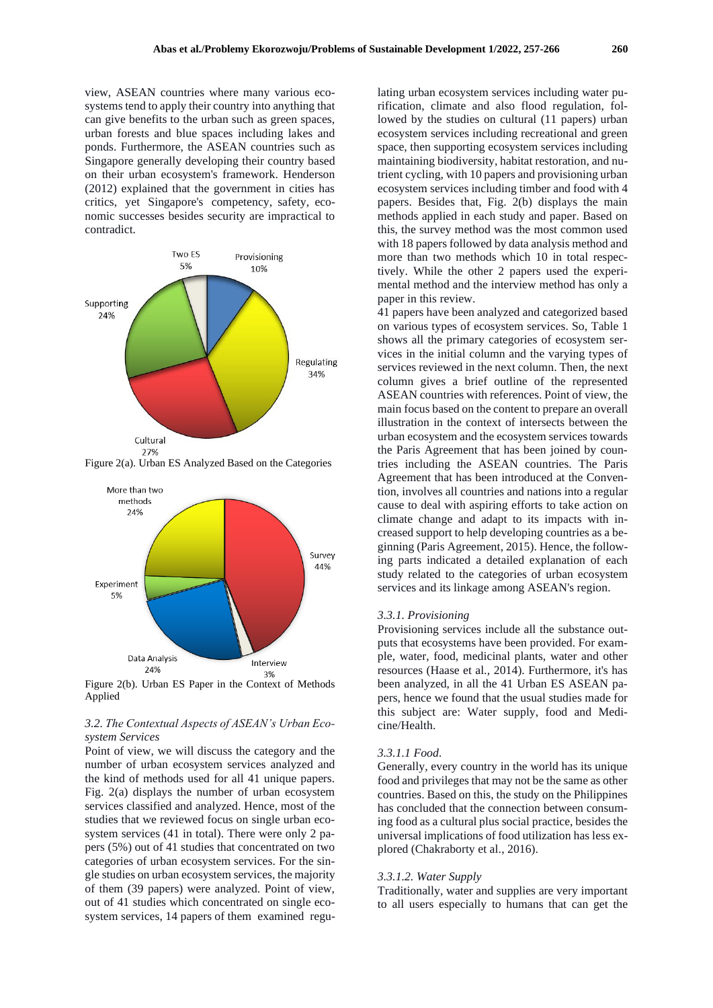view, ASEAN countries where many various ecosystems tend to apply their country into anything that can give benefits to the urban such as green spaces, urban forests and blue spaces including lakes and ponds. Furthermore, the ASEAN countries such as Singapore generally developing their country based on their urban ecosystem's framework. Henderson (2012) explained that the government in cities has critics, yet Singapore's competency, safety, economic successes besides security are impractical to contradict.



Figure 2(a). Urban ES Analyzed Based on the Categories



Figure 2(b). Urban ES Paper in the Context of Methods Applied

## *3.2. The Contextual Aspects of ASEAN's Urban Ecosystem Services*

Point of view, we will discuss the category and the number of urban ecosystem services analyzed and the kind of methods used for all 41 unique papers. Fig. 2(a) displays the number of urban ecosystem services classified and analyzed. Hence, most of the studies that we reviewed focus on single urban ecosystem services (41 in total). There were only 2 papers (5%) out of 41 studies that concentrated on two categories of urban ecosystem services. For the single studies on urban ecosystem services, the majority of them (39 papers) were analyzed. Point of view, out of 41 studies which concentrated on single ecosystem services, 14 papers of them examined regu-

lating urban ecosystem services including water purification, climate and also flood regulation, followed by the studies on cultural (11 papers) urban ecosystem services including recreational and green space, then supporting ecosystem services including maintaining biodiversity, habitat restoration, and nutrient cycling, with 10 papers and provisioning urban ecosystem services including timber and food with 4 papers. Besides that, Fig. 2(b) displays the main methods applied in each study and paper. Based on this, the survey method was the most common used with 18 papers followed by data analysis method and more than two methods which 10 in total respectively. While the other 2 papers used the experimental method and the interview method has only a paper in this review.

41 papers have been analyzed and categorized based on various types of ecosystem services. So, Table 1 shows all the primary categories of ecosystem services in the initial column and the varying types of services reviewed in the next column. Then, the next column gives a brief outline of the represented ASEAN countries with references. Point of view, the main focus based on the content to prepare an overall illustration in the context of intersects between the urban ecosystem and the ecosystem services towards the Paris Agreement that has been joined by countries including the ASEAN countries. The Paris Agreement that has been introduced at the Convention, involves all countries and nations into a regular cause to deal with aspiring efforts to take action on climate change and adapt to its impacts with increased support to help developing countries as a beginning (Paris Agreement, 2015). Hence, the following parts indicated a detailed explanation of each study related to the categories of urban ecosystem services and its linkage among ASEAN's region.

#### *3.3.1. Provisioning*

Provisioning services include all the substance outputs that ecosystems have been provided. For example, water, food, medicinal plants, water and other resources (Haase et al., 2014). Furthermore, it's has been analyzed, in all the 41 Urban ES ASEAN papers, hence we found that the usual studies made for this subject are: Water supply, food and Medicine/Health.

## *3.3.1.1 Food.*

Generally, every country in the world has its unique food and privileges that may not be the same as other countries. Based on this, the study on the Philippines has concluded that the connection between consuming food as a cultural plus social practice, besides the universal implications of food utilization has less explored (Chakraborty et al., 2016).

#### *3.3.1.2. Water Supply*

Traditionally, water and supplies are very important to all users especially to humans that can get the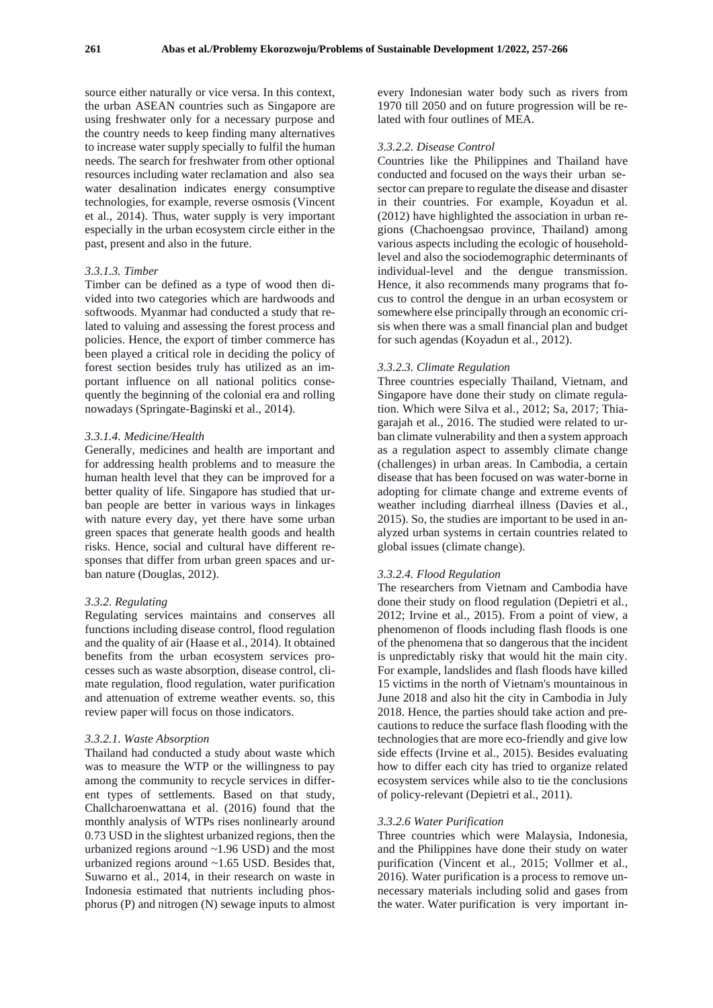source either naturally or vice versa. In this context, the urban ASEAN countries such as Singapore are using freshwater only for a necessary purpose and the country needs to keep finding many alternatives to increase water supply specially to fulfil the human needs. The search for freshwater from other optional resources including water reclamation and also sea water desalination indicates energy consumptive technologies, for example, reverse osmosis (Vincent et al., 2014). Thus, water supply is very important especially in the urban ecosystem circle either in the past, present and also in the future.

#### *3.3.1.3. Timber*

Timber can be defined as a type of wood then divided into two categories which are hardwoods and softwoods. Myanmar had conducted a study that related to valuing and assessing the forest process and policies. Hence, the export of timber commerce has been played a critical role in deciding the policy of forest section besides truly has utilized as an important influence on all national politics consequently the beginning of the colonial era and rolling nowadays (Springate-Baginski et al., 2014).

#### *3.3.1.4. Medicine/Health*

Generally, medicines and health are important and for addressing health problems and to measure the human health level that they can be improved for a better quality of life. Singapore has studied that urban people are better in various ways in linkages with nature every day, yet there have some urban green spaces that generate health goods and health risks. Hence, social and cultural have different responses that differ from urban green spaces and urban nature (Douglas, 2012).

## *3.3.2. Regulating*

Regulating services maintains and conserves all functions including disease control, flood regulation and the quality of air (Haase et al., 2014). It obtained benefits from the urban ecosystem services processes such as waste absorption, disease control, climate regulation, flood regulation, water purification and attenuation of extreme weather events. so, this review paper will focus on those indicators.

## *3.3.2.1. Waste Absorption*

Thailand had conducted a study about waste which was to measure the WTP or the willingness to pay among the community to recycle services in different types of settlements. Based on that study, Challcharoenwattana et al. (2016) found that the monthly analysis of WTPs rises nonlinearly around 0.73 USD in the slightest urbanized regions, then the urbanized regions around ~1.96 USD) and the most urbanized regions around ~1.65 USD. Besides that, Suwarno et al., 2014, in their research on waste in Indonesia estimated that nutrients including phosphorus (P) and nitrogen (N) sewage inputs to almost

every Indonesian water body such as rivers from 1970 till 2050 and on future progression will be related with four outlines of MEA.

#### *3.3.2.2. Disease Control*

Countries like the Philippines and Thailand have conducted and focused on the ways their urban sesector can prepare to regulate the disease and disaster in their countries. For example, Koyadun et al. (2012) have highlighted the association in urban regions (Chachoengsao province, Thailand) among various aspects including the ecologic of householdlevel and also the sociodemographic determinants of individual-level and the dengue transmission. Hence, it also recommends many programs that focus to control the dengue in an urban ecosystem or somewhere else principally through an economic crisis when there was a small financial plan and budget for such agendas (Koyadun et al., 2012).

#### *3.3.2.3. Climate Regulation*

Three countries especially Thailand, Vietnam, and Singapore have done their study on climate regulation. Which were Silva et al., 2012; Sa, 2017; Thiagarajah et al., 2016. The studied were related to urban climate vulnerability and then a system approach as a regulation aspect to assembly climate change (challenges) in urban areas. In Cambodia, a certain disease that has been focused on was water-borne in adopting for climate change and extreme events of weather including diarrheal illness (Davies et al., 2015). So, the studies are important to be used in analyzed urban systems in certain countries related to global issues (climate change).

#### *3.3.2.4. Flood Regulation*

The researchers from Vietnam and Cambodia have done their study on flood regulation (Depietri et al., 2012; Irvine et al., 2015). From a point of view, a phenomenon of floods including flash floods is one of the phenomena that so dangerous that the incident is unpredictably risky that would hit the main city. For example, landslides and flash floods have killed 15 victims in the north of Vietnam's mountainous in June 2018 and also hit the city in Cambodia in July 2018. Hence, the parties should take action and precautions to reduce the surface flash flooding with the technologies that are more eco-friendly and give low side effects (Irvine et al., 2015). Besides evaluating how to differ each city has tried to organize related ecosystem services while also to tie the conclusions of policy-relevant (Depietri et al., 2011).

#### *3.3.2.6 Water Purification*

Three countries which were Malaysia, Indonesia, and the Philippines have done their study on water purification (Vincent et al., 2015; Vollmer et al., 2016). Water purification is a process to remove unnecessary materials including solid and gases from the water. Water purification is very important in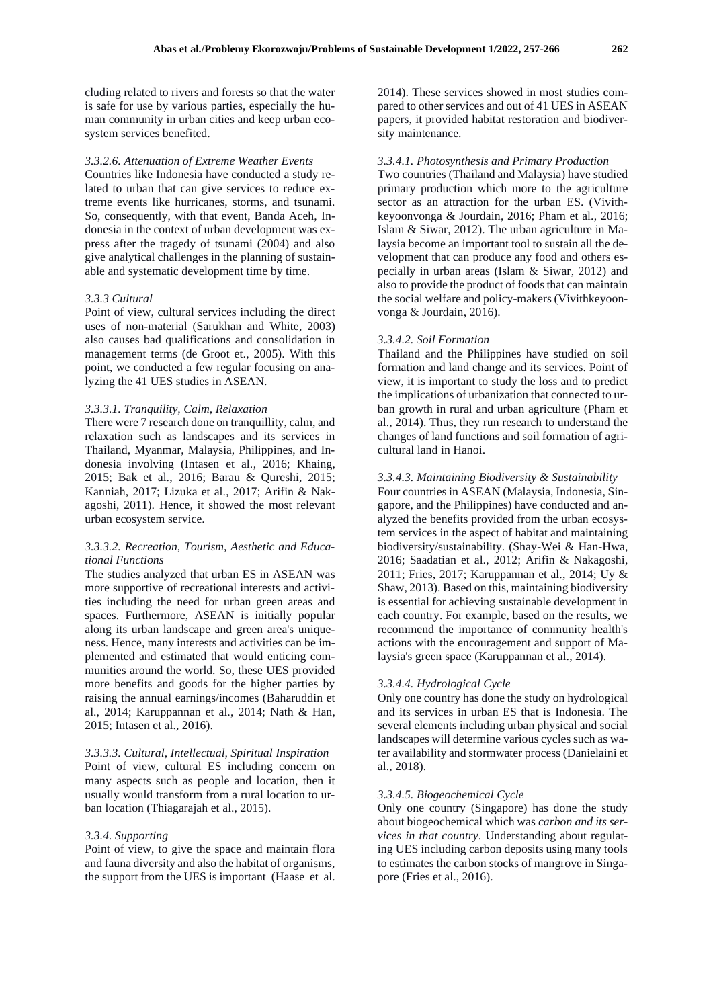cluding related to rivers and forests so that the water is safe for use by various parties, especially the human community in urban cities and keep urban ecosystem services benefited.

#### *3.3.2.6. Attenuation of Extreme Weather Events*

Countries like Indonesia have conducted a study related to urban that can give services to reduce extreme events like hurricanes, storms, and tsunami. So, consequently, with that event, Banda Aceh, Indonesia in the context of urban development was express after the tragedy of tsunami (2004) and also give analytical challenges in the planning of sustainable and systematic development time by time.

#### *3.3.3 Cultural*

Point of view, cultural services including the direct uses of non-material (Sarukhan and White, 2003) also causes bad qualifications and consolidation in management terms (de Groot et., 2005). With this point, we conducted a few regular focusing on analyzing the 41 UES studies in ASEAN.

#### *3.3.3.1. Tranquility, Calm, Relaxation*

There were 7 research done on tranquillity, calm, and relaxation such as landscapes and its services in Thailand, Myanmar, Malaysia, Philippines, and Indonesia involving (Intasen et al., 2016; Khaing, 2015; Bak et al., 2016; Barau & Qureshi, 2015; Kanniah, 2017; Lizuka et al., 2017; Arifin & Nakagoshi, 2011). Hence, it showed the most relevant urban ecosystem service.

## *3.3.3.2. Recreation, Tourism, Aesthetic and Educational Functions*

The studies analyzed that urban ES in ASEAN was more supportive of recreational interests and activities including the need for urban green areas and spaces. Furthermore, ASEAN is initially popular along its urban landscape and green area's uniqueness. Hence, many interests and activities can be implemented and estimated that would enticing communities around the world. So, these UES provided more benefits and goods for the higher parties by raising the annual earnings/incomes (Baharuddin et al., 2014; Karuppannan et al., 2014; Nath & Han, 2015; Intasen et al., 2016).

*3.3.3.3. Cultural, Intellectual, Spiritual Inspiration* Point of view, cultural ES including concern on many aspects such as people and location, then it usually would transform from a rural location to urban location (Thiagarajah et al., 2015).

#### *3.3.4. Supporting*

Point of view, to give the space and maintain flora and fauna diversity and also the habitat of organisms, the support from the UES is important (Haase et al.

2014). These services showed in most studies compared to other services and out of 41 UES in ASEAN papers, it provided habitat restoration and biodiversity maintenance.

#### *3.3.4.1. Photosynthesis and Primary Production*

Two countries (Thailand and Malaysia) have studied primary production which more to the agriculture sector as an attraction for the urban ES. (Vivithkeyoonvonga & Jourdain, 2016; Pham et al., 2016; Islam & Siwar, 2012). The urban agriculture in Malaysia become an important tool to sustain all the development that can produce any food and others especially in urban areas (Islam & Siwar, 2012) and also to provide the product of foods that can maintain the social welfare and policy-makers (Vivithkeyoonvonga & Jourdain, 2016).

#### *3.3.4.2. Soil Formation*

Thailand and the Philippines have studied on soil formation and land change and its services. Point of view, it is important to study the loss and to predict the implications of urbanization that connected to urban growth in rural and urban agriculture (Pham et al., 2014). Thus, they run research to understand the changes of land functions and soil formation of agricultural land in Hanoi.

### *3.3.4.3. Maintaining Biodiversity & Sustainability*

Four countries in ASEAN (Malaysia, Indonesia, Singapore, and the Philippines) have conducted and analyzed the benefits provided from the urban ecosystem services in the aspect of habitat and maintaining biodiversity/sustainability. (Shay-Wei & Han-Hwa, 2016; Saadatian et al., 2012; Arifin & Nakagoshi, 2011; Fries, 2017; Karuppannan et al., 2014; Uy & Shaw, 2013). Based on this, maintaining biodiversity is essential for achieving sustainable development in each country. For example, based on the results, we recommend the importance of community health's actions with the encouragement and support of Malaysia's green space (Karuppannan et al., 2014).

#### *3.3.4.4. Hydrological Cycle*

Only one country has done the study on hydrological and its services in urban ES that is Indonesia. The several elements including urban physical and social landscapes will determine various cycles such as water availability and stormwater process (Danielaini et al., 2018).

#### *3.3.4.5. Biogeochemical Cycle*

Only one country (Singapore) has done the study about biogeochemical which was *carbon and its services in that country*. Understanding about regulating UES including carbon deposits using many tools to estimates the carbon stocks of mangrove in Singapore (Fries et al., 2016).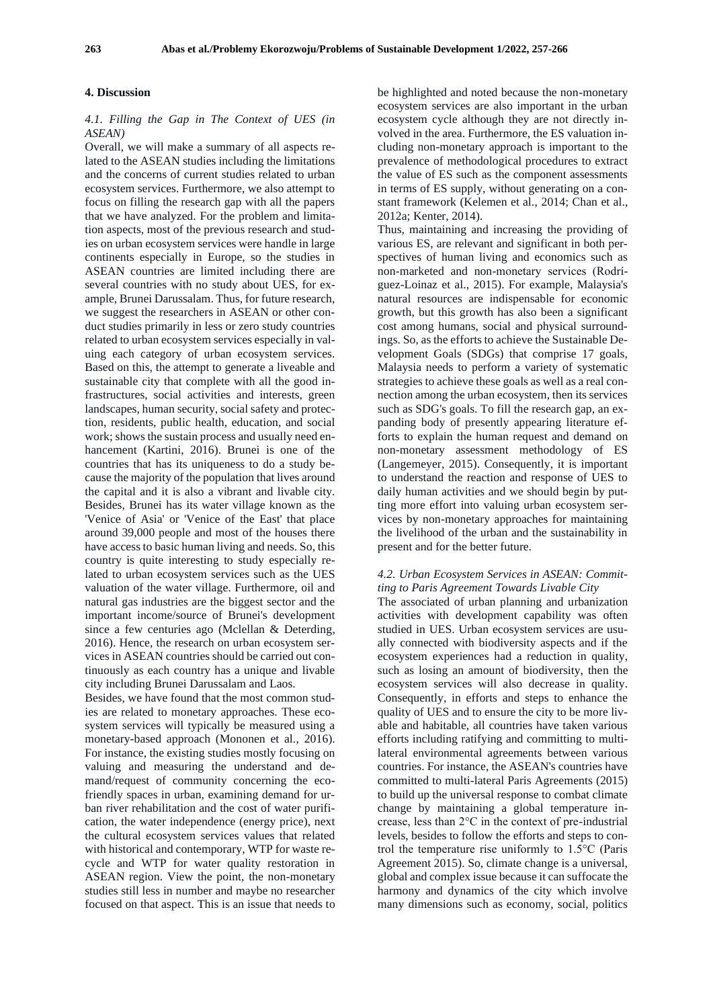#### **4. Discussion**

#### *4.1. Filling the Gap in The Context of UES (in ASEAN)*

Overall, we will make a summary of all aspects related to the ASEAN studies including the limitations and the concerns of current studies related to urban ecosystem services. Furthermore, we also attempt to focus on filling the research gap with all the papers that we have analyzed. For the problem and limitation aspects, most of the previous research and studies on urban ecosystem services were handle in large continents especially in Europe, so the studies in ASEAN countries are limited including there are several countries with no study about UES, for example, Brunei Darussalam. Thus, for future research, we suggest the researchers in ASEAN or other conduct studies primarily in less or zero study countries related to urban ecosystem services especially in valuing each category of urban ecosystem services. Based on this, the attempt to generate a liveable and sustainable city that complete with all the good infrastructures, social activities and interests, green landscapes, human security, social safety and protection, residents, public health, education, and social work; shows the sustain process and usually need enhancement (Kartini, 2016). Brunei is one of the countries that has its uniqueness to do a study because the majority of the population that lives around the capital and it is also a vibrant and livable city. Besides, Brunei has its water village known as the 'Venice of Asia' or 'Venice of the East' that place around 39,000 people and most of the houses there have access to basic human living and needs. So, this country is quite interesting to study especially related to urban ecosystem services such as the UES valuation of the water village. Furthermore, oil and natural gas industries are the biggest sector and the important income/source of Brunei's development since a few centuries ago (Mclellan & Deterding, 2016). Hence, the research on urban ecosystem services in ASEAN countries should be carried out continuously as each country has a unique and livable city including Brunei Darussalam and Laos.

Besides, we have found that the most common studies are related to monetary approaches. These ecosystem services will typically be measured using a monetary-based approach (Mononen et al., 2016). For instance, the existing studies mostly focusing on valuing and measuring the understand and demand/request of community concerning the ecofriendly spaces in urban, examining demand for urban river rehabilitation and the cost of water purification, the water independence (energy price), next the cultural ecosystem services values that related with historical and contemporary, WTP for waste recycle and WTP for water quality restoration in ASEAN region. View the point, the non-monetary studies still less in number and maybe no researcher focused on that aspect. This is an issue that needs to

be highlighted and noted because the non-monetary ecosystem services are also important in the urban ecosystem cycle although they are not directly involved in the area. Furthermore, the ES valuation including non-monetary approach is important to the prevalence of methodological procedures to extract the value of ES such as the component assessments in terms of ES supply, without generating on a constant framework (Kelemen et al., 2014; Chan et al., 2012a; Kenter, 2014).

Thus, maintaining and increasing the providing of various ES, are relevant and significant in both perspectives of human living and economics such as non-marketed and non-monetary services (Rodríguez-Loinaz et al., 2015). For example, Malaysia's natural resources are indispensable for economic growth, but this growth has also been a significant cost among humans, social and physical surroundings. So, as the efforts to achieve the Sustainable Development Goals (SDGs) that comprise 17 goals, Malaysia needs to perform a variety of systematic strategies to achieve these goals as well as a real connection among the urban ecosystem, then its services such as SDG's goals. To fill the research gap, an expanding body of presently appearing literature efforts to explain the human request and demand on non-monetary assessment methodology of ES (Langemeyer, 2015). Consequently, it is important to understand the reaction and response of UES to daily human activities and we should begin by putting more effort into valuing urban ecosystem services by non-monetary approaches for maintaining the livelihood of the urban and the sustainability in present and for the better future.

## *4.2. Urban Ecosystem Services in ASEAN: Committing to Paris Agreement Towards Livable City*

The associated of urban planning and urbanization activities with development capability was often studied in UES. Urban ecosystem services are usually connected with biodiversity aspects and if the ecosystem experiences had a reduction in quality, such as losing an amount of biodiversity, then the ecosystem services will also decrease in quality. Consequently, in efforts and steps to enhance the quality of UES and to ensure the city to be more livable and habitable, all countries have taken various efforts including ratifying and committing to multilateral environmental agreements between various countries. For instance, the ASEAN's countries have committed to multi-lateral Paris Agreements (2015) to build up the universal response to combat climate change by maintaining a global temperature increase, less than 2°C in the context of pre-industrial levels, besides to follow the efforts and steps to control the temperature rise uniformly to 1.5°C (Paris Agreement 2015). So, climate change is a universal, global and complex issue because it can suffocate the harmony and dynamics of the city which involve many dimensions such as economy, social, politics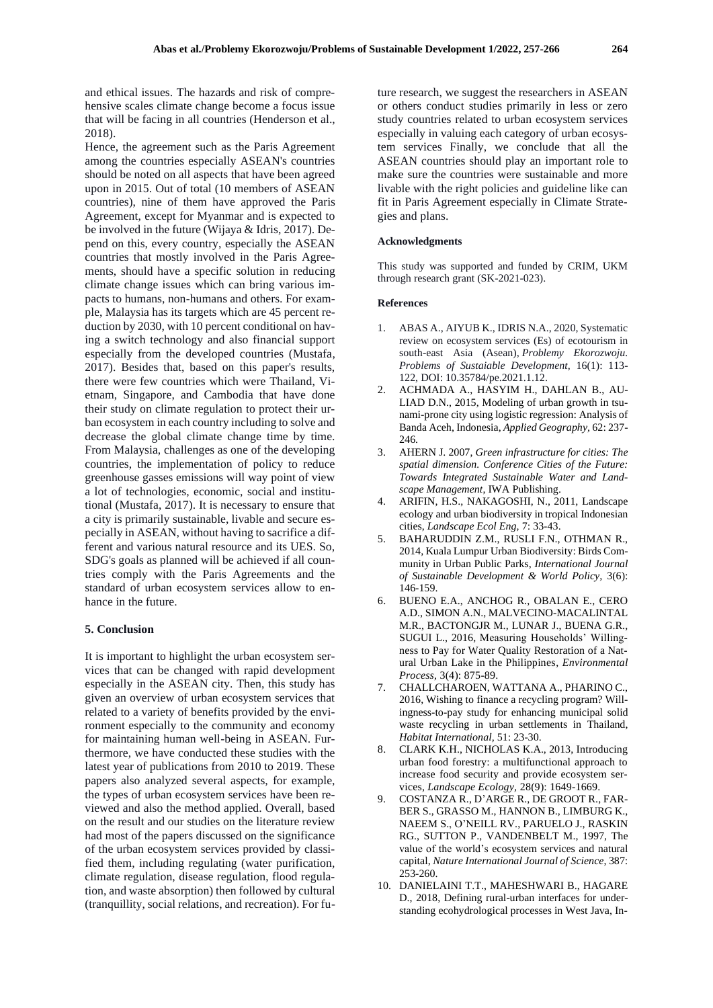and ethical issues. The hazards and risk of comprehensive scales climate change become a focus issue that will be facing in all countries (Henderson et al., 2018).

Hence, the agreement such as the Paris Agreement among the countries especially ASEAN's countries should be noted on all aspects that have been agreed upon in 2015. Out of total (10 members of ASEAN countries), nine of them have approved the Paris Agreement, except for Myanmar and is expected to be involved in the future (Wijaya & Idris, 2017). Depend on this, every country, especially the ASEAN countries that mostly involved in the Paris Agreements, should have a specific solution in reducing climate change issues which can bring various impacts to humans, non-humans and others. For example, Malaysia has its targets which are 45 percent reduction by 2030, with 10 percent conditional on having a switch technology and also financial support especially from the developed countries (Mustafa, 2017). Besides that, based on this paper's results, there were few countries which were Thailand, Vietnam, Singapore, and Cambodia that have done their study on climate regulation to protect their urban ecosystem in each country including to solve and decrease the global climate change time by time. From Malaysia, challenges as one of the developing countries, the implementation of policy to reduce greenhouse gasses emissions will way point of view a lot of technologies, economic, social and institutional (Mustafa, 2017). It is necessary to ensure that a city is primarily sustainable, livable and secure especially in ASEAN, without having to sacrifice a different and various natural resource and its UES. So, SDG's goals as planned will be achieved if all countries comply with the Paris Agreements and the standard of urban ecosystem services allow to enhance in the future.

#### **5. Conclusion**

It is important to highlight the urban ecosystem services that can be changed with rapid development especially in the ASEAN city. Then, this study has given an overview of urban ecosystem services that related to a variety of benefits provided by the environment especially to the community and economy for maintaining human well-being in ASEAN. Furthermore, we have conducted these studies with the latest year of publications from 2010 to 2019. These papers also analyzed several aspects, for example, the types of urban ecosystem services have been reviewed and also the method applied. Overall, based on the result and our studies on the literature review had most of the papers discussed on the significance of the urban ecosystem services provided by classified them, including regulating (water purification, climate regulation, disease regulation, flood regulation, and waste absorption) then followed by cultural (tranquillity, social relations, and recreation). For future research, we suggest the researchers in ASEAN or others conduct studies primarily in less or zero study countries related to urban ecosystem services especially in valuing each category of urban ecosystem services Finally, we conclude that all the ASEAN countries should play an important role to make sure the countries were sustainable and more livable with the right policies and guideline like can fit in Paris Agreement especially in Climate Strategies and plans.

#### **Acknowledgments**

This study was supported and funded by CRIM, UKM through research grant (SK-2021-023).

#### **References**

- 1. ABAS A., AIYUB K., IDRIS N.A., 2020, Systematic review on ecosystem services (Es) of ecotourism in south-east Asia (Asean), *Problemy Ekorozwoju. Problems of Sustaiable Development,* 16(1): 113- 122, DOI: 10.35784/pe.2021.1.12.
- 2. [ACHMADA](https://www.sciencedirect.com/science/article/abs/pii/S0143622815001198#!) A., [HASYIM](https://www.sciencedirect.com/science/article/abs/pii/S0143622815001198#!) H., [DAHLAN](https://www.sciencedirect.com/science/article/abs/pii/S0143622815001198#!) B., [AU-](https://www.sciencedirect.com/science/article/abs/pii/S0143622815001198#!)[LIAD](https://www.sciencedirect.com/science/article/abs/pii/S0143622815001198#!) D.N., 2015, Modeling of urban growth in tsunami-prone city using logistic regression: Analysis of Banda Aceh, Indonesia, *[Applied Geography](https://www.sciencedirect.com/science/journal/01436228),* [62:](https://www.sciencedirect.com/science/journal/01436228/62/supp/C) 237- 246.
- 3. AHERN J. 2007, *Green infrastructure for cities: The spatial dimension. Conference Cities of the Future: Towards Integrated Sustainable Water and Landscape Management*, IWA Publishing.
- 4. ARIFIN, H.S., NAKAGOSHI, N., 2011, Landscape ecology and urban biodiversity in tropical Indonesian cities, *Landscape Ecol Eng,* 7: 33-43.
- 5. BAHARUDDIN Z.M., RUSLI F.N., OTHMAN R., 2014, Kuala Lumpur Urban Biodiversity: Birds Community in Urban Public Parks, *International Journal of Sustainable Development & World Policy,* 3(6): 146-159.
- 6. BUENO E.A., ANCHOG R., OBALAN E., CERO A.D., SIMON A.N., MALVECINO-MACALINTAL M.R., BACTONGJR M., LUNAR J., BUENA G.R., SUGUI L., 2016, Measuring Households' Willingness to Pay for Water Quality Restoration of a Natural Urban Lake in the Philippines, *Environmental Process,* 3(4): 875-89.
- 7. CHALLCHAROEN, WATTANA A., PHARINO C., 2016, Wishing to finance a recycling program? Willingness-to-pay study for enhancing municipal solid waste recycling in urban settlements in Thailand, *Habitat International,* 51: 23-30.
- 8. CLARK K.H., NICHOLAS K.A., 2013, Introducing urban food forestry: a multifunctional approach to increase food security and provide ecosystem services, *Landscape Ecology,* 28(9): 1649-1669.
- 9. COSTANZA R., D'ARGE R., DE GROOT R., FAR-BER S., GRASSO M., HANNON B., LIMBURG K., NAEEM S., O'NEILL RV., PARUELO J., RASKIN RG., SUTTON P., VANDENBELT M., 1997, The value of the world's ecosystem services and natural capital, *Nature International Journal of Science*, 387: 253-260.
- 10. DANIELAINI T.T., MAHESHWARI B., HAGARE D., 2018, Defining rural-urban interfaces for understanding ecohydrological processes in West Java, In-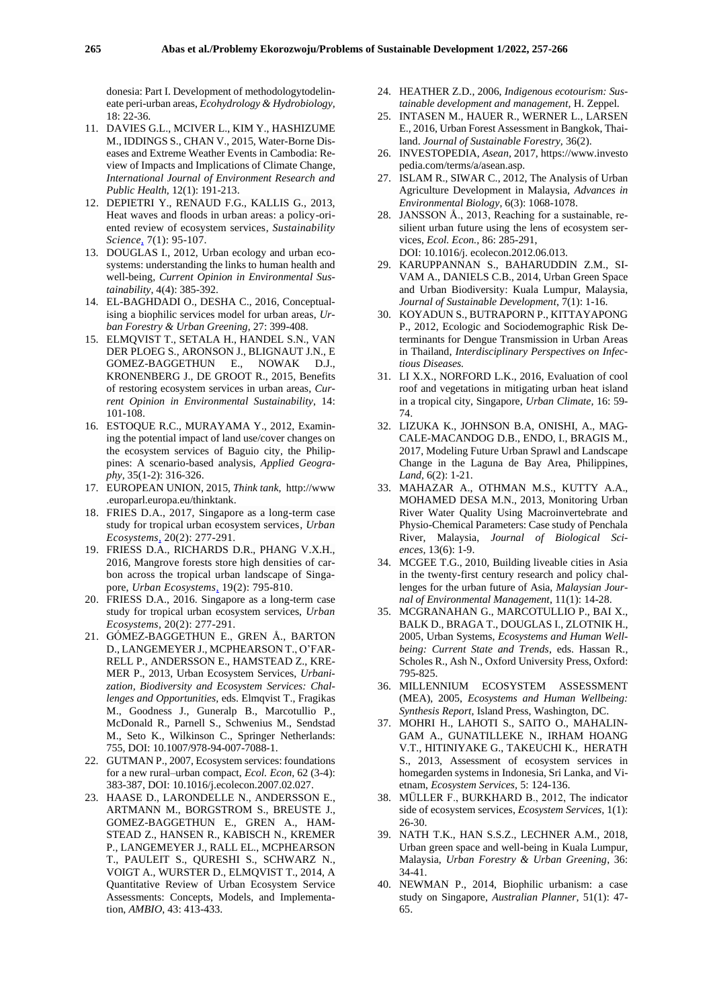donesia: Part I. Development of methodologytodelineate peri-urban areas, *Ecohydrology & Hydrobiology,* 18: 22-36.

- 11. DAVIES G.L., MCIVER L., KIM Y., HASHIZUME M., IDDINGS S., CHAN V., 2015, Water-Borne Diseases and Extreme Weather Events in Cambodia: Review of Impacts and Implications of Climate Change, *International Journal of Environment Research and Public Health,* 12(1): 191-213.
- 12. DEPIETRI Y., RENAUD F.G., KALLIS G., 2013, Heat waves and floods in urban areas: a policy-oriented review of ecosystem services, *Sustainability Science,* 7(1): 95-107.
- 13. DOUGLAS I., 2012, Urban ecology and urban ecosystems: understanding the links to human health and well-being, *Current Opinion in Environmental Sustainability*, 4(4): 385-392.
- 14. EL-BAGHDADI O., DESHA C., 2016, Conceptualising a biophilic services model for urban areas, *Urban Forestry & Urban Greening,* 27: 399-408.
- 15. ELMQVIST T., SETALA H., HANDEL S.N., VAN DER PLOEG S., ARONSON J., BLIGNAUT J.N., E GOMEZ-BAGGETHUN E., NOWAK D.J., KRONENBERG J., DE GROOT R., 2015, Benefits of restoring ecosystem services in urban areas, *Current Opinion in Environmental Sustainability*, 14: 101-108.
- 16. ESTOQUE R.C., MURAYAMA Y., 2012, Examining the potential impact of land use/cover changes on the ecosystem services of Baguio city, the Philippines: A scenario-based analysis, *Applied Geography*, 35(1-2): 316-326.
- 17. EUROPEAN UNION, 2015, *Think tank,* http://www .europarl.europa.eu/thinktank.
- 18. FRIES D.A., 2017, Singapore as a long-term case study for tropical urban ecosystem services, *Urban Ecosystems,* 20(2): 277-291.
- 19. FRIESS D.A., RICHARDS D.R., PHANG V.X.H., 2016, Mangrove forests store high densities of carbon across the tropical urban landscape of Singapore, *Urban Ecosystems,* 19(2): 795-810.
- 20. FRIESS D.A., 2016. Singapore as a long-term case study for tropical urban ecosystem services, *Urban Ecosystems,* 20(2): 277-291.
- 21. GÓMEZ-BAGGETHUN E., GREN Å., BARTON D., LANGEMEYER J., MCPHEARSON T., O'FAR-RELL P., ANDERSSON E., HAMSTEAD Z., KRE-MER P., 2013, Urban Ecosystem Services, *Urbanization, Biodiversity and Ecosystem Services: Challenges and Opportunities,* eds. Elmqvist T., Fragikas M., Goodness J., Guneralp B., Marcotullio P., McDonald R., Parnell S., Schwenius M., Sendstad M., Seto K., Wilkinson C., Springer Netherlands: 755, DOI: 10.1007/978-94-007-7088-1.
- 22. GUTMAN P., 2007, Ecosystem services: foundations for a new rural–urban compact, *Ecol. Econ,* 62 (3-4): 383-387, DOI: 10.1016/j.ecolecon.2007.02.027.
- 23. HAASE D., LARONDELLE N., ANDERSSON E., ARTMANN M., BORGSTROM S., BREUSTE J., GOMEZ-BAGGETHUN E., GREN A., HAM-STEAD Z., HANSEN R., KABISCH N., KREMER P., LANGEMEYER J., RALL EL., MCPHEARSON T., PAULEIT S., QURESHI S., SCHWARZ N., VOIGT A., WURSTER D., ELMQVIST T., 2014, A Quantitative Review of Urban Ecosystem Service Assessments: Concepts, Models, and Implementation, *AMBIO*, 43: 413-433.
- 24. HEATHER Z.D., 2006, *Indigenous ecotourism: Sustainable development and management,* H. Zeppel.
- 25. INTASEN M., HAUER R., WERNER L., LARSEN E., 2016, Urban Forest Assessment in Bangkok, Thailand. *Journal of Sustainable Forestry,* 36(2).
- 26. INVESTOPEDIA, *Asean,* 2017, https://www.investo pedia.com/terms/a/asean.asp.
- 27. ISLAM R., SIWAR C., 2012, The Analysis of Urban Agriculture Development in Malaysia, *Advances in Environmental Biology,* 6(3): 1068-1078.
- 28. JANSSON Å., 2013, Reaching for a sustainable, resilient urban future using the lens of ecosystem services, *Ecol. Econ.,* 86: 285-291, DOI: 10.1016/j. ecolecon.2012.06.013.
- 29. KARUPPANNAN S., BAHARUDDIN Z.M., SI-VAM A., DANIELS C.B., 2014, Urban Green Space and Urban Biodiversity: Kuala Lumpur, Malaysia, *Journal of Sustainable Development*, 7(1): 1-16.
- 30. KOYADUN S., BUTRAPORN P., KITTAYAPONG P., 2012, Ecologic and Sociodemographic Risk Determinants for Dengue Transmission in Urban Areas in Thailand, *Interdisciplinary Perspectives on Infectious Diseases.*
- 31. LI X.X., NORFORD L.K., 2016, Evaluation of cool roof and vegetations in mitigating urban heat island in a tropical city, Singapore, *Urban Climate,* 16: 59- 74.
- 32. LIZUKA K., JOHNSON B.A, ONISHI, A., MAG-CALE-MACANDOG D.B., ENDO, I., BRAGIS M., 2017, Modeling Future Urban Sprawl and Landscape Change in the Laguna de Bay Area, Philippines, *Land,* 6(2): 1-21.
- 33. MAHAZAR A., OTHMAN M.S., KUTTY A.A., MOHAMED DESA M.N., 2013, Monitoring Urban River Water Quality Using Macroinvertebrate and Physio-Chemical Parameters: Case study of Penchala River, Malaysia, *Journal of Biological Sciences,* 13(6): 1-9.
- 34. MCGEE T.G., 2010, Building liveable cities in Asia in the twenty-first century research and policy challenges for the urban future of Asia, *Malaysian Journal of Environmental Management*, 11(1): 14-28.
- 35. MCGRANAHAN G., MARCOTULLIO P., BAI X., BALK D., BRAGA T., DOUGLAS I., ZLOTNIK H., 2005, Urban Systems, *Ecosystems and Human Wellbeing: Current State and Trends*, eds. Hassan R., Scholes R., Ash N., Oxford University Press, Oxford: 795-825.
- 36. MILLENNIUM ECOSYSTEM ASSESSMENT (MEA), 2005, *Ecosystems and Human Wellbeing: Synthesis Report*, Island Press, Washington, DC.
- 37. MOHRI H., LAHOTI S., SAITO O., MAHALIN-GAM A., GUNATILLEKE N., IRHAM HOANG V.T., HITINIYAKE G., TAKEUCHI K., HERATH S., 2013, Assessment of ecosystem services in homegarden systems in Indonesia, Sri Lanka, and Vietnam, *Ecosystem Services,* 5: 124-136.
- 38. MÜLLER F., BURKHARD B., 2012, The indicator side of ecosystem services, *Ecosystem Services,* 1(1): 26-30.
- 39. NATH T.K., HAN S.S.Z., LECHNER A.M., 2018, Urban green space and well-being in Kuala Lumpur, Malaysia, *Urban Forestry & Urban Greening*, 36: 34-41.
- 40. NEWMAN P., 2014, Biophilic urbanism: a case study on Singapore, *Australian Planner,* 51(1): 47- 65.